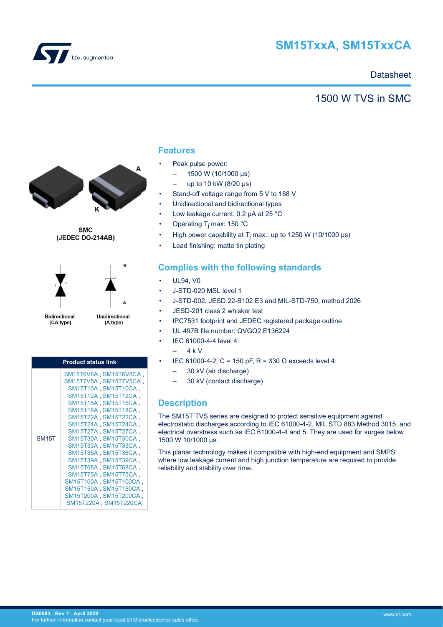

# **SM15TxxA, SM15TxxCA**

## **Datasheet**

## 1500 W TVS in SMC



**SMC** (JEDEC DO-214AB)



Unidirectional (A type)

ĸ

| <b>Product status link</b> |                                                                                                                                                                                                                                                                                                                                                                                                                                                              |  |  |  |  |  |
|----------------------------|--------------------------------------------------------------------------------------------------------------------------------------------------------------------------------------------------------------------------------------------------------------------------------------------------------------------------------------------------------------------------------------------------------------------------------------------------------------|--|--|--|--|--|
| <b>SM15T</b>               | SM15T6V8A, SM15T6V8CA,<br>SM15T7V5A, SM15T7V5CA,<br>SM15T10A, SM15T10CA,<br>SM15T12A SM15T12CA<br>SM15T15A SM15T15CA,<br>SM15T18A SM15T18CA,<br>SM15T22A SM15T22CA,<br>SM15T24A SM15T24CA,<br>SM15T27A SM15T27CA,<br>SM15T30A SM15T30CA<br>SM15T33A SM15T33CA<br>SM15T36A SM15T36CA,<br>SM15T39A SM15T39CA<br>SM15T68A SM15T68CA,<br>SM15T75A SM15T75CA,<br>SM15T100A SM15T100CA,<br>SM15T150A SM15T150CA,<br>SM15T200A SM15T200CA,<br>SM15T220A, SM15T220CA |  |  |  |  |  |

### **Features**

- Peak pulse power:
	- $-$  1500 W (10/1000 μs)
	- up to 10 kW (8/20 μs)
- Stand-off voltage range from 5 V to 188 V
- Unidirectional and bidirectional types
- Low leakage current: 0.2 µA at 25 °C
- Operating T<sub>j</sub> max: 150 °C
- High power capability at T<sub>j</sub> max.: up to 1250 W (10/1000 µs)
- Lead finishing: matte tin plating

### **Complies with the following standards**

- UL94, V0
- J-STD-020 MSL level 1
- J-STD-002, JESD 22-B102 E3 and MIL-STD-750, method 2026
- JESD-201 class 2 whisker test
- IPC7531 footprint and JEDEC registered package outline
- UL 497B file number: QVGQ2.E136224
- IEC 61000-4-4 level 4:
	- 4 k V
- IEC 61000-4-2, C = 150 pF, R = 330 Ω exceeds level 4:
	- 30 kV (air discharge)
	- 30 kV (contact discharge)

## **Description**

The SM15T TVS series are designed to protect sensitive equipment against electrostatic discharges according to IEC 61000-4-2, MIL STD 883 Method 3015, and electrical overstress such as IEC 61000-4-4 and 5. They are used for surges below 1500 W 10/1000 μs.

This planar technology makes it compatible with high-end equipment and SMPS where low leakage current and high junction temperature are required to provide reliability and stability over time.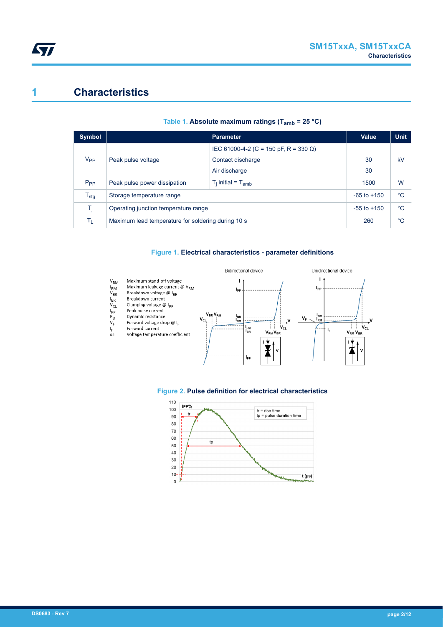## **1 Characteristics**

| <b>Symbol</b>    |                                                    | Parameter                             | <b>Value</b> | <b>Unit</b> |
|------------------|----------------------------------------------------|---------------------------------------|--------------|-------------|
|                  |                                                    | IEC 61000-4-2 (C = 150 pF, R = 330 Ω) |              |             |
| V <sub>PP</sub>  | Peak pulse voltage                                 | Contact discharge                     | 30           | kV          |
|                  |                                                    | Air discharge                         | 30           |             |
| P <sub>PP</sub>  | Peak pulse power dissipation                       | $T_i$ initial = $T_{amb}$             | 1500         | W           |
| $T_{\text{stg}}$ | Storage temperature range                          | $-65$ to $+150$                       | °C           |             |
| Ti.              | Operating junction temperature range               | $-55$ to $+150$                       | °C           |             |
| Tī.              | Maximum lead temperature for soldering during 10 s | 260                                   | $^{\circ}C$  |             |

#### **Table 1. Absolute maximum ratings (Tamb = 25 °C)**

#### **Figure 1. Electrical characteristics - parameter definitions**





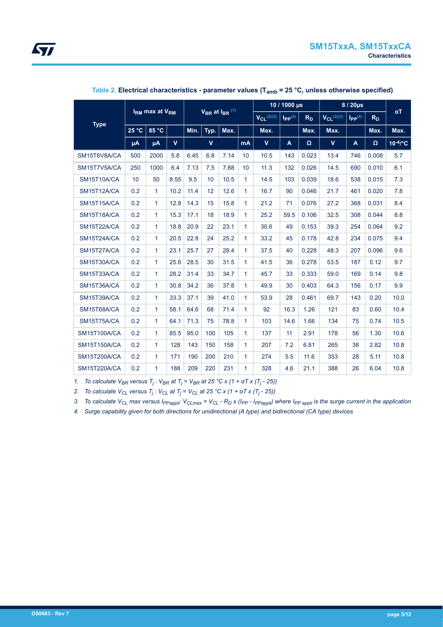

|                                        | I <sub>RM</sub> max at V <sub>RM</sub><br>$V_{BR}$ at $I_{BR}$ <sup>(1)</sup> |              |             |      |             | 10 / 1000 µs      |                                  | 8 / 20µs       |                   |                         |                |            |       |               |
|----------------------------------------|-------------------------------------------------------------------------------|--------------|-------------|------|-------------|-------------------|----------------------------------|----------------|-------------------|-------------------------|----------------|------------|-------|---------------|
|                                        |                                                                               |              |             |      |             | $V_{CL}^{(2)(3)}$ | $\mathsf{I}_{\mathsf{PP}}^{(4)}$ | R <sub>D</sub> | $V_{CL}^{(2)(3)}$ | $I_{PP}$ <sup>(4)</sup> | R <sub>D</sub> | $\alpha T$ |       |               |
| <b>Type</b><br>$25^{\circ}$ C<br>85 °C |                                                                               | Min.         | Typ.        | Max. |             | Max.              |                                  | Max.           | Max.              |                         | Max.           | Max.       |       |               |
|                                        | μA                                                                            | μA           | $\mathbf v$ |      | $\mathbf v$ |                   | <b>mA</b>                        | $\mathbf v$    | $\mathbf{A}$      | Ω                       | V              | A          | Ω     | $10^{-4}$ /°C |
| SM15T6V8A/CA                           | 500                                                                           | 2000         | 5.8         | 6.45 | 6.8         | 7.14              | 10                               | 10.5           | 143               | 0.023                   | 13.4           | 746        | 0.008 | 5.7           |
| SM15T7V5A/CA                           | 250                                                                           | 1000         | 6.4         | 7.13 | 7.5         | 7.88              | 10                               | 11.3           | 132               | 0.026                   | 14.5           | 690        | 0.010 | 6.1           |
| SM15T10A/CA                            | 10                                                                            | 50           | 8.55        | 9.5  | 10          | 10.5              | 1                                | 14.5           | 103               | 0.039                   | 18.6           | 538        | 0.015 | 7.3           |
| SM15T12A/CA                            | 0.2                                                                           | $\mathbf{1}$ | 10.2        | 11.4 | 12          | 12.6              | 1                                | 16.7           | 90                | 0.046                   | 21.7           | 461        | 0.020 | 7.8           |
| SM15T15A/CA                            | 0.2                                                                           | 1            | 12.8        | 14.3 | 15          | 15.8              | 1.                               | 21.2           | 71                | 0.076                   | 27.2           | 368        | 0.031 | 8.4           |
| SM15T18A/CA                            | 0.2                                                                           | 1            | 15.3        | 17.1 | 18          | 18.9              | 1.                               | 25.2           | 59.5              | 0.106                   | 32.5           | 308        | 0.044 | 8.8           |
| SM15T22A/CA                            | 0.2                                                                           | 1            | 18.8        | 20.9 | 22          | 23.1              | 1.                               | 30.6           | 49                | 0.153                   | 39.3           | 254        | 0.064 | 9.2           |
| SM15T24A/CA                            | 0.2                                                                           | $\mathbf{1}$ | 20.5        | 22.8 | 24          | 25.2              | 1.                               | 33.2           | 45                | 0.178                   | 42.8           | 234        | 0.075 | 9.4           |
| SM15T27A/CA                            | 0.2                                                                           | $\mathbf{1}$ | 23.1        | 25.7 | 27          | 28.4              | 1                                | 37.5           | 40                | 0.228                   | 48.3           | 207        | 0.096 | 9.6           |
| SM15T30A/CA                            | 0.2                                                                           | $\mathbf{1}$ | 25.6        | 28.5 | 30          | 31.5              | 1                                | 41.5           | 36                | 0.278                   | 53.5           | 187        | 0.12  | 9.7           |
| SM15T33A/CA                            | 0.2                                                                           | $\mathbf{1}$ | 28.2        | 31.4 | 33          | 34.7              | 1                                | 45.7           | 33                | 0.333                   | 59.0           | 169        | 0.14  | 9.8           |
| SM15T36A/CA                            | 0.2                                                                           | $\mathbf{1}$ | 30.8        | 34.2 | 36          | 37.8              | 1                                | 49.9           | 30                | 0.403                   | 64.3           | 156        | 0.17  | 9.9           |
| SM15T39A/CA                            | 0.2                                                                           | $\mathbf{1}$ | 33.3        | 37.1 | 39          | 41.0              | 1.                               | 53.9           | 28                | 0.461                   | 69.7           | 143        | 0.20  | 10.0          |
| SM15T68A/CA                            | 0.2                                                                           | 1            | 58.1        | 64.6 | 68          | 71.4              | 1.                               | 92             | 16.3              | 1.26                    | 121            | 83         | 0.60  | 10.4          |
| SM15T75A/CA                            | 0.2                                                                           | $\mathbf{1}$ | 64.1        | 71.3 | 75          | 78.8              | 1                                | 103            | 14.6              | 1.66                    | 134            | 75         | 0.74  | 10.5          |
| SM15T100A/CA                           | 0.2                                                                           | 1            | 85.5        | 95.0 | 100         | 105               | 1.                               | 137            | 11                | 2.91                    | 178            | 56         | 1.30  | 10.6          |
| <b>SM15T150A/CA</b>                    | 0.2                                                                           | $\mathbf{1}$ | 128         | 143  | 150         | 158               | 1                                | 207            | 7.2               | 6.81                    | 265            | 38         | 2.82  | 10.8          |
| SM15T200A/CA                           | 0.2                                                                           | $\mathbf{1}$ | 171         | 190  | 200         | 210               | $\mathbf{1}$                     | 274            | 5.5               | 11.6                    | 353            | 28         | 5.11  | 10.8          |
| <b>SM15T220A/CA</b>                    | 0.2                                                                           | $\mathbf{1}$ | 188         | 209  | 220         | 231               | 1                                | 328            | 4.6               | 21.1                    | 388            | 26         | 6.04  | 10.8          |

**Table 2. Electrical characteristics - parameter values (Tamb = 25 °C, unless otherwise specified)**

*1. To calculate VBR versus T<sup>j</sup> : VBR at T<sup>j</sup> = VBR at 25 °C x (1 + αT x (T<sup>j</sup> - 25))*

*2. To calculate VCL versus T<sup>j</sup> : VCL at T<sup>j</sup> = VCL at 25 °C x (1 + αT x (T<sup>j</sup> - 25))*

3. To calculate  $V_{CL}$  max versus  $I_{PPappli}$ :  $V_{CLmax} = V_{CL} - R_D$  x ( $I_{PP}$  -  $I_{PPappli}$ ) where  $I_{PPappli}$  is the surge current in the application

*4. Surge capability given for both directions for unidirectional (A type) and bidirectional (CA type) devices*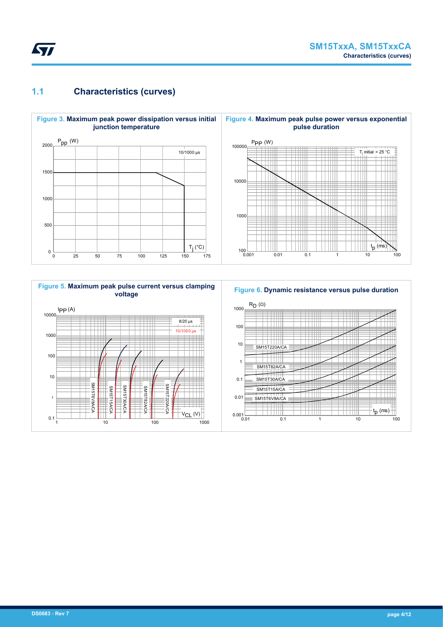## **1.1 Characteristics (curves)**

ST



### **Figure 5. Maximum peak pulse current versus clamping voltage**



#### **Figure 6. Dynamic resistance versus pulse duration**

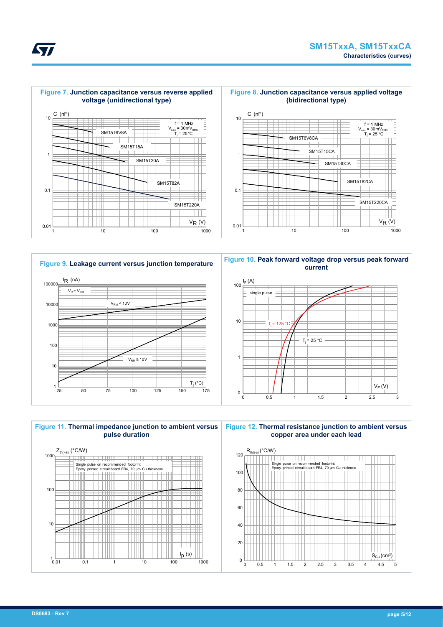



**current** 1 10 100  $I_F(A)$ single pulse  $T_i = 25 °C$  $T = 125 °C$ 

0 0.5 1 1.5 2 2.5 3

 $V_F(V)$ 



0

**Kyr**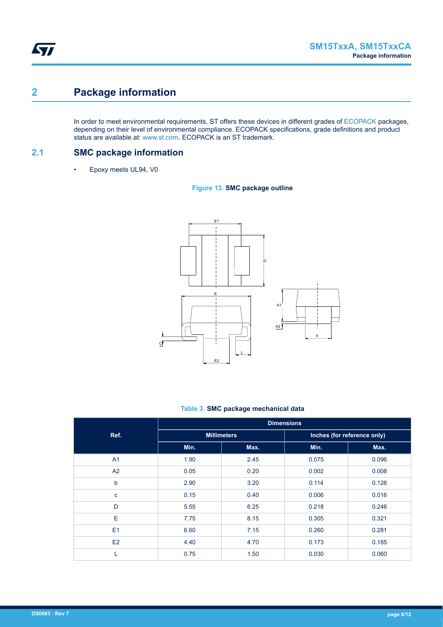# **2 Package information**

In order to meet environmental requirements, ST offers these devices in different grades of [ECOPACK](https://www.st.com/ecopack) packages, depending on their level of environmental compliance. ECOPACK specifications, grade definitions and product status are available at: [www.st.com.](http://www.st.com) ECOPACK is an ST trademark.

**2.1 SMC package information**

• Epoxy meets UL94, V0





### **Table 3. SMC package mechanical data**

|                | <b>Dimensions</b> |                    |                             |       |  |  |  |
|----------------|-------------------|--------------------|-----------------------------|-------|--|--|--|
| Ref.           |                   | <b>Millimeters</b> | Inches (for reference only) |       |  |  |  |
|                | Min.              | Max.               | Min.                        | Max.  |  |  |  |
| A <sub>1</sub> | 1.90              | 2.45               | 0.075                       | 0.096 |  |  |  |
| A2             | 0.05              | 0.20               | 0.002                       | 0.008 |  |  |  |
| $\mathsf b$    | 2.90              | 3.20               | 0.114                       | 0.126 |  |  |  |
| $\mathbf c$    | 0.15              | 0.40               | 0.006                       | 0.016 |  |  |  |
| D              | 5.55              | 6.25               | 0.218                       | 0.246 |  |  |  |
| E              | 7.75              | 8.15               | 0.305                       | 0.321 |  |  |  |
| E1             | 6.60              | 7.15               | 0.260                       | 0.281 |  |  |  |
| E2             | 4.40              | 4.70               | 0.173                       | 0.185 |  |  |  |
| L              | 0.75              | 1.50               | 0.030                       | 0.060 |  |  |  |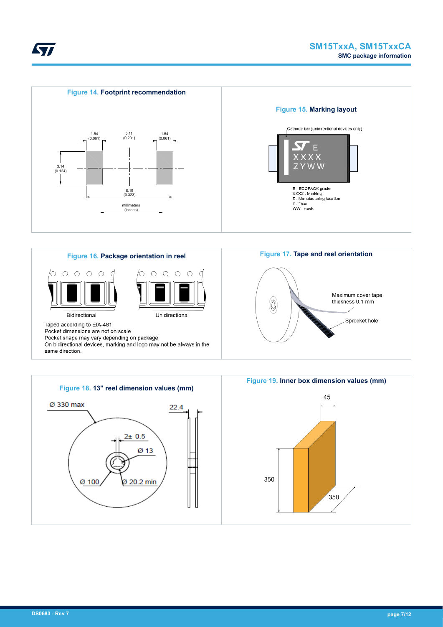





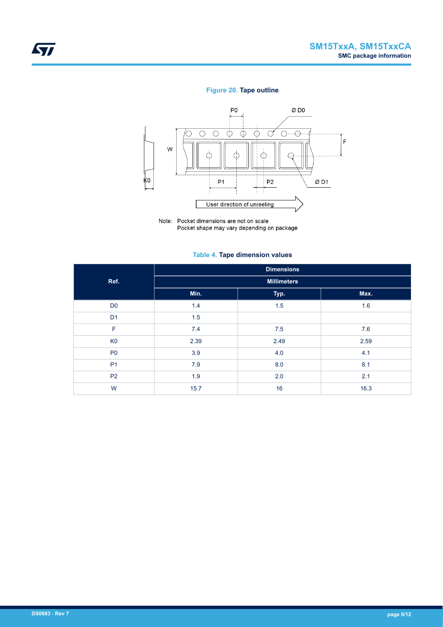### **Figure 20. Tape outline**



Note: Pocket dimensions are not on scale Pocket shape may vary depending on package

### **Table 4. Tape dimension values**

|                | <b>Dimensions</b>  |      |      |  |  |  |  |  |  |
|----------------|--------------------|------|------|--|--|--|--|--|--|
| Ref.           | <b>Millimeters</b> |      |      |  |  |  |  |  |  |
|                | Min.               | Typ. | Max. |  |  |  |  |  |  |
| D <sub>0</sub> | 1.4                | 1.5  | 1.6  |  |  |  |  |  |  |
| D <sub>1</sub> | 1.5                |      |      |  |  |  |  |  |  |
| F              | 7.4                | 7.5  | 7.6  |  |  |  |  |  |  |
| K <sub>0</sub> | 2.39               | 2.49 | 2.59 |  |  |  |  |  |  |
| P <sub>0</sub> | 3.9                | 4.0  | 4.1  |  |  |  |  |  |  |
| P <sub>1</sub> | 7.9                | 8.0  | 8.1  |  |  |  |  |  |  |
| <b>P2</b>      | 1.9                | 2.0  | 2.1  |  |  |  |  |  |  |
| W              | 15.7               | 16   | 16.3 |  |  |  |  |  |  |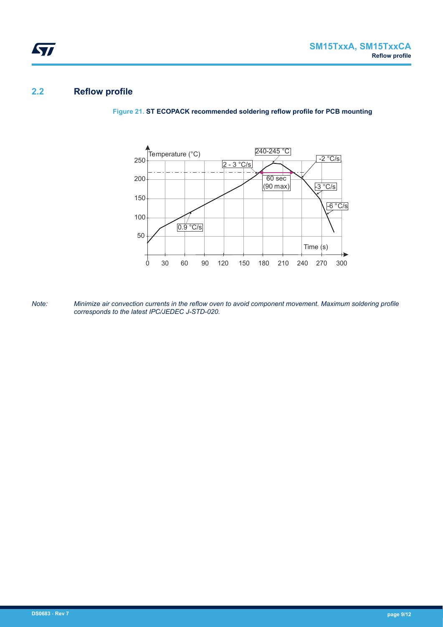## **2.2 Reflow profile**

ST



**Figure 21. ST ECOPACK recommended soldering reflow profile for PCB mounting**

*Note: Minimize air convection currents in the reflow oven to avoid component movement. Maximum soldering profile corresponds to the latest IPC/JEDEC J-STD-020.*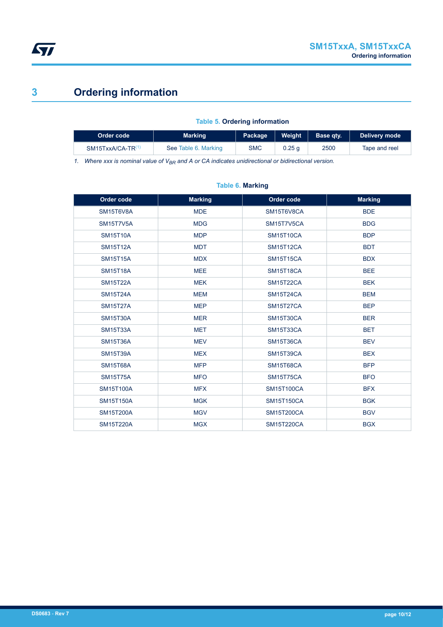

# **3 Ordering information**

### **Table 5. Ordering information**

| ⊦Order code <sup>∖</sup>      | Weight<br><b>Marking</b><br>Package |            |        | Base atv.<br>Delivery mode |               |
|-------------------------------|-------------------------------------|------------|--------|----------------------------|---------------|
| SM15TxxA/CA-TR <sup>(1,</sup> | See Table 6. Marking                | <b>SMC</b> | 0.25 q | 2500                       | Tape and reel |

*1. Where xxx is nominal value of VBR and A or CA indicates unidirectional or bidirectional version.*

| Order code       | <b>Marking</b> | Order code        | <b>Marking</b> |
|------------------|----------------|-------------------|----------------|
| SM15T6V8A        | <b>MDE</b>     | SM15T6V8CA        | <b>BDE</b>     |
| <b>SM15T7V5A</b> | <b>MDG</b>     | SM15T7V5CA        | <b>BDG</b>     |
| <b>SM15T10A</b>  | <b>MDP</b>     | <b>SM15T10CA</b>  | <b>BDP</b>     |
| <b>SM15T12A</b>  | <b>MDT</b>     | <b>SM15T12CA</b>  | <b>BDT</b>     |
| <b>SM15T15A</b>  | <b>MDX</b>     | <b>SM15T15CA</b>  | <b>BDX</b>     |
| <b>SM15T18A</b>  | <b>MEE</b>     | <b>SM15T18CA</b>  | <b>BEE</b>     |
| <b>SM15T22A</b>  | <b>MEK</b>     | <b>SM15T22CA</b>  | <b>BEK</b>     |
| <b>SM15T24A</b>  | <b>MEM</b>     | <b>SM15T24CA</b>  | <b>BEM</b>     |
| <b>SM15T27A</b>  | <b>MEP</b>     | <b>SM15T27CA</b>  | <b>BEP</b>     |
| <b>SM15T30A</b>  | <b>MER</b>     | <b>SM15T30CA</b>  | <b>BER</b>     |
| <b>SM15T33A</b>  | <b>MET</b>     | <b>SM15T33CA</b>  | <b>BET</b>     |
| <b>SM15T36A</b>  | <b>MEV</b>     | <b>SM15T36CA</b>  | <b>BEV</b>     |
| <b>SM15T39A</b>  | <b>MEX</b>     | <b>SM15T39CA</b>  | <b>BEX</b>     |
| <b>SM15T68A</b>  | <b>MFP</b>     | <b>SM15T68CA</b>  | <b>BFP</b>     |
| <b>SM15T75A</b>  | <b>MFO</b>     | <b>SM15T75CA</b>  | <b>BFO</b>     |
| <b>SM15T100A</b> | <b>MFX</b>     | <b>SM15T100CA</b> | <b>BFX</b>     |
| <b>SM15T150A</b> | <b>MGK</b>     | <b>SM15T150CA</b> | <b>BGK</b>     |
| <b>SM15T200A</b> | <b>MGV</b>     | <b>SM15T200CA</b> | <b>BGV</b>     |
| <b>SM15T220A</b> | <b>MGX</b>     | <b>SM15T220CA</b> | <b>BGX</b>     |

### **Table 6. Marking**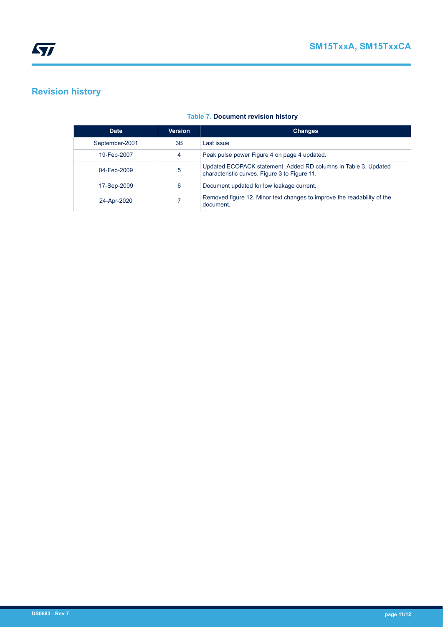# **Revision history**

| <b>Date</b>    | <b>Version</b> | <b>Changes</b>                                                                                                   |
|----------------|----------------|------------------------------------------------------------------------------------------------------------------|
| September-2001 | 3B             | Last issue                                                                                                       |
| 19-Feb-2007    | 4              | Peak pulse power Figure 4 on page 4 updated.                                                                     |
| 04-Feb-2009    | 5              | Updated ECOPACK statement. Added RD columns in Table 3. Updated<br>characteristic curves, Figure 3 to Figure 11. |
| 17-Sep-2009    | 6              | Document updated for low leakage current.                                                                        |
| 24-Apr-2020    |                | Removed figure 12. Minor text changes to improve the readability of the<br>document.                             |

### **Table 7. Document revision history**